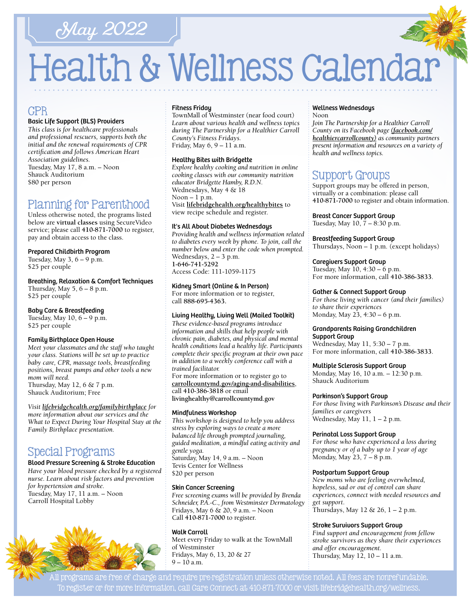## May 2022

# Health & Wellness Calendar

## CPR

#### Basic Life Support (BLS) Providers

*This class is for healthcare professionals and professional rescuers, supports both the initial and the renewal requirements of CPR certification and follows American Heart Association guidelines.*  Tuesday, May 17, 8 a.m. – Noon Shauck Auditorium \$80 per person

## Planning for Parenthood

Unless otherwise noted, the programs listed below are **virtual classes** using SecureVideo service; please call **[410-871-7000](tel:4108717000)** to register, pay and obtain access to the class.

#### Prepared Childbirth Program

Tuesday, May  $3, 6 - 9$  p.m. \$25 per couple

#### Breathing, Relaxation & Comfort Techniques

Thursday, May  $5, 6 - 8$  p.m. \$25 per couple

#### Baby Care & Breastfeeding

Tuesday, May  $10, 6 - 9$  p.m. \$25 per couple

#### Family Birthplace Open House

*Meet your classmates and the staff who taught your class. Stations will be set up to practice baby care, CPR, massage tools, breastfeeding positions, breast pumps and other tools a new mom will need.*  Thursday, May 12, 6 & 7 p.m. Shauck Auditorium; Free

#### *Visit [lifebridgehealth.org/familybirthplace](http://www.lifebridgehealth.org/familybirthplace) for*

*more information about our services and the What to Expect During Your Hospital Stay at the Family Birthplace presentation.*

## Special Programs

#### Blood Pressure Screening & Stroke Education

*Have your blood pressure checked by a registered nurse. Learn about risk factors and prevention for hypertension and stroke.* Tuesday, May 17, 11 a.m. – Noon Carroll Hospital Lobby



#### Fitness Friday

TownMall of Westminster (near food court) *Learn about various health and wellness topics during The Partnership for a Healthier Carroll County's Fitness Fridays.*  Friday, May 6, 9 – 11 a.m.

#### Healthy Bites with Bridgette

*Explore healthy cooking and nutrition in online cooking classes with our community nutrition educator Bridgette Hamby, R.D.N.* Wednesdays, May 4 & 18  $Noon - 1 p.m.$ Visit **[lifebridgehealth.org/healthybites](https://www.lifebridgehealth.org/Carroll/HealthyBites.aspx)** to view recipe schedule and register.

#### It's All About Diabetes Wednesdays

*Providing health and wellness information related to diabetes every week by phone. To join, call the number below and enter the code when prompted.* Wednesdays, 2 – 3 p.m. **[1-646-741-5292](tel:16467415292)** Access Code: 111-1059-1175

Kidney Smart (Online & In Person) For more information or to register, call **88[8-695-4](tel:8886954363)363.** 

#### Living Healthy, Living Well (Mailed Toolkit)

*These evidence-based programs introduce information and skills that help people with chronic pain, diabetes, and physical and mental health conditions lead a healthy life. Participants complete their specific program at their own pace in addition to a weekly conference call with a trained facilitator.*

For more information or to register go to **[carrollcountymd.gov/aging-and-disabilities](https://www.carrollcountymd.gov/aging-and-disabilities)**, call **[410-386-3818](tel:4103863818)** or email **[livinghealthy@carrollcountymd.gov](mailto:livinghealthy@carrollcountymd.gov)**

#### Mindfulness Workshop

*This workshop is designed to help you address stress by exploring ways to create a more balanced life through prompted journaling, guided meditation, a mindful eating activity and gentle yoga.* Saturday, May 14, 9 a.m. – Noon Tevis Center for Wellness \$20 per person

#### Skin Cancer Screening

*Free screening exams will be provided by Brenda Schneider, P.A.-C., from Westminster Dermatology*  Fridays, May 6 & 20, 9 a.m. – Noon Call **[410-871-7000](tel:4108717000)** to register.

#### Walk Carroll

Meet every Friday to walk at the TownMall of Westminster Fridays, May 6, 13, 20 & 27 9 – 10 a.m.

#### Wellness Wednesdays

Noon

*Join The Partnership for a Healthier Carroll County on its Facebook page [\(facebook.com/](http://facebook.com/healthiercarrollcounty) [healthiercarrollcounty\)](http://facebook.com/healthiercarrollcounty) as community partners present information and resources on a variety of health and wellness topics.* 

## Support Groups

Support groups may be offered in person, virtually or a combination: please call **[410-871-7000](tel:4108717000)** to register and obtain information.

Breast Cancer Support Group Tuesday, May 10, 7 – 8:30 p.m.

Breastfeeding Support Group Thursdays, Noon – 1 p.m. (except holidays)

#### Caregivers Support Group

Tuesday, May 10, 4:30 – 6 p.m. For more information, call **[410-386-3833](tel:4103863833)**.

#### Gather & Connect Support Group

*For those living with cancer (and their families) to share their experiences*  Monday, May 23, 4:30 – 6 p.m.

#### Grandparents Raising Grandchildren Support Group

Wednesday, May 11, 5:30 – 7 p.m. For more information, call **[410-386-3833](tel:4103863833)**.

#### Multiple Sclerosis Support Group

Monday, May 16, 10 a.m. – 12:30 p.m. Shauck Auditorium

#### Parkinson's Support Group

*For those living with Parkinson's Disease and their families or caregivers*  Wednesday, May 11, 1 – 2 p.m.

#### Perinatal Loss Support Group

*For those who have experienced a loss during pregnancy or of a baby up to 1 year of age* Monday, May 23, 7 – 8 p.m.

#### Postpartum Support Group

*New moms who are feeling overwhelmed, hopeless, sad or out of control can share experiences, connect with needed resources and get support*. Thursdays, May  $12 \& 26$ ,  $1 - 2$  p.m.

#### Stroke Survivors Support Group

*Find support and encouragement from fellow stroke survivors as they share their experiences and offer encouragement.*  Thursday, May 12, 10 – 11 a.m.

All programs are free of charge and require pre-registration unless otherwise noted. All fees are nonrefundable. To register or for more information, call Care Connect at [410-871-7000](tel:4108717000) or visit [lifebridgehealth.org/wellness.](https://www.lifebridgehealth.org/Carroll/CarrollHospitalTevisCenterforWellness.aspx)